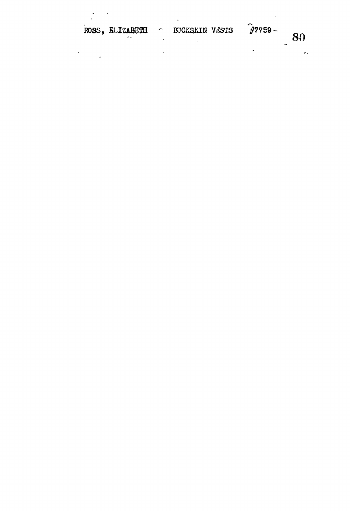| ROSS, ELIZABUTH | <b>BUCKSKIN VESTS</b> | $\#7759-$ |  |
|-----------------|-----------------------|-----------|--|

,

 $\sim$  800  $\sim$  800  $\sim$  800  $\sim$  800  $\sim$  800  $\sim$  800  $\sim$  800  $\sim$  800  $\sim$  800  $\sim$  800  $\sim$  800  $\sim$  800  $\sim$  800  $\sim$  800  $\sim$  800  $\sim$  800  $\sim$  800  $\sim$  800  $\sim$  800  $\sim$  800  $\sim$  800  $\sim$  800  $\sim$  800  $\sim$  800  $\sim$ 

 $\mathcal{F}$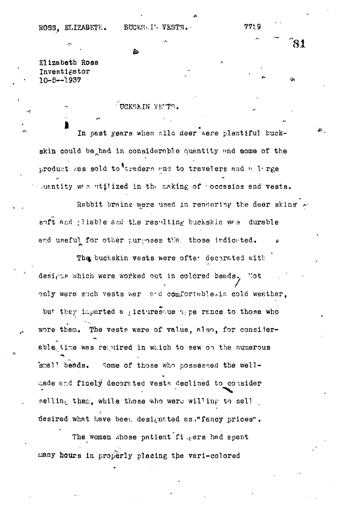Elizabeth Ross Investigator  $10 - 5 - -1937$ 

UCKSKIN VETTS.

h.

In past years when wild deer were plentiful buckskin could be had in considerable quantity and some of the product was sold to<sup>4</sup>traders and to travelers and a 1 rge Juentity was utilized in the making of poccesins and vests.

Rabbit brains were used in rendering the deer skins soft and gliable and the resulting buchskin was durable and useful for other purposes that those indicated.

The buckskin vests were ofter decorated with designs which were worked out in colored beads. Not only were such vests war and comfortable.in cold weather. but they inparted a gicturesque spe rance to those who wore them, The vests were of value, also, for considerable time was required in which to sew on the numerous small beads. Some of those who possessed the wellmade and finely decorated vests declined to consider selling them, while those who were willing to sell desired what have been designated as, "fancy prices".

The women whose patient figers had spent many hours in properly placing the vari-colored

 $81$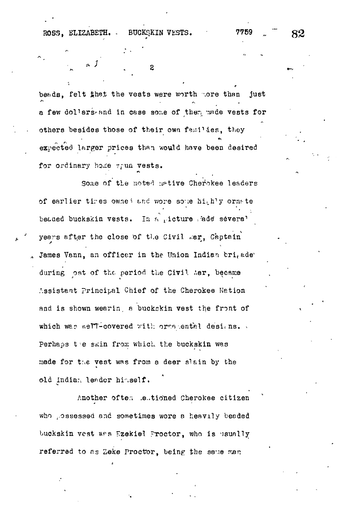2

beads, felt that the vests were worth hore than just a few dollars and in case some of them made vests for others besides those of their own families, they expected larger prices than would have been desired for ordinary home worm vests.

Some of the noted mative Cherokee leaders of earlier tires owned and wore some highly ornate beased buckskin vests. In a picture rade several years after the close of the Civil Mar. Captain James Vann, an officer in the Union Indian bri<sub>t</sub>ade during ost of the period the Civil tar, became Assistant Principal Chief of the Cherokee Nation and is shown wearing a buckskin vest the front of which was well-covered with ords ental designs. Perhaps the skin from which the buckskin was made for the vest was from a deer slain by the old Indian leader hinself.

Another often leutioned Cherokee citizen who possessed and sometimes wore a heavily beaded buckskin vest was Ezekiel Proctor, who is usually referred to as Zeke Proctor, being the same man

82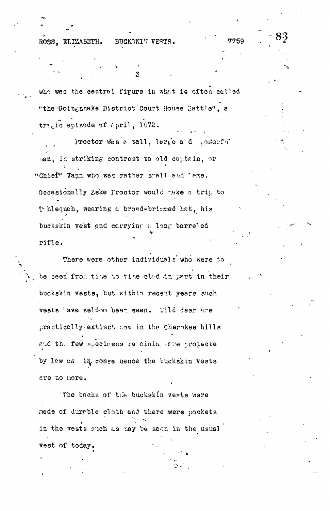ROSS. ELIZABETH. BUCKSKIN VESTS.

who was the central figure in what is often called "the Goingsnake District Court House Battle", a tra, ic episode of April, 1672.

Proctor was a tall, large a d sowerful san, in striking contrast to old captain, or "Chief" Vann who was rather small and lame. Occasionally Zeke Proctor would make a trip to Thequah, wearing a broad-brimmed hat, his buckskin vest and carrying a long barreled rifle.

There were other individuals who were to be seen from time to time clad in part in their buckskin vests, but within recent years such vests have seldom been seen. Wild deer are practicelly extinct now in the Cherokee hills and the few specifiens retaining ere protecte by lew an in conse uence the buckskin vests are no more.

The backs of the buckskin vests were made of durable cloth and there were pockets in the vests such as may be seen in the usual vest of today.

7759